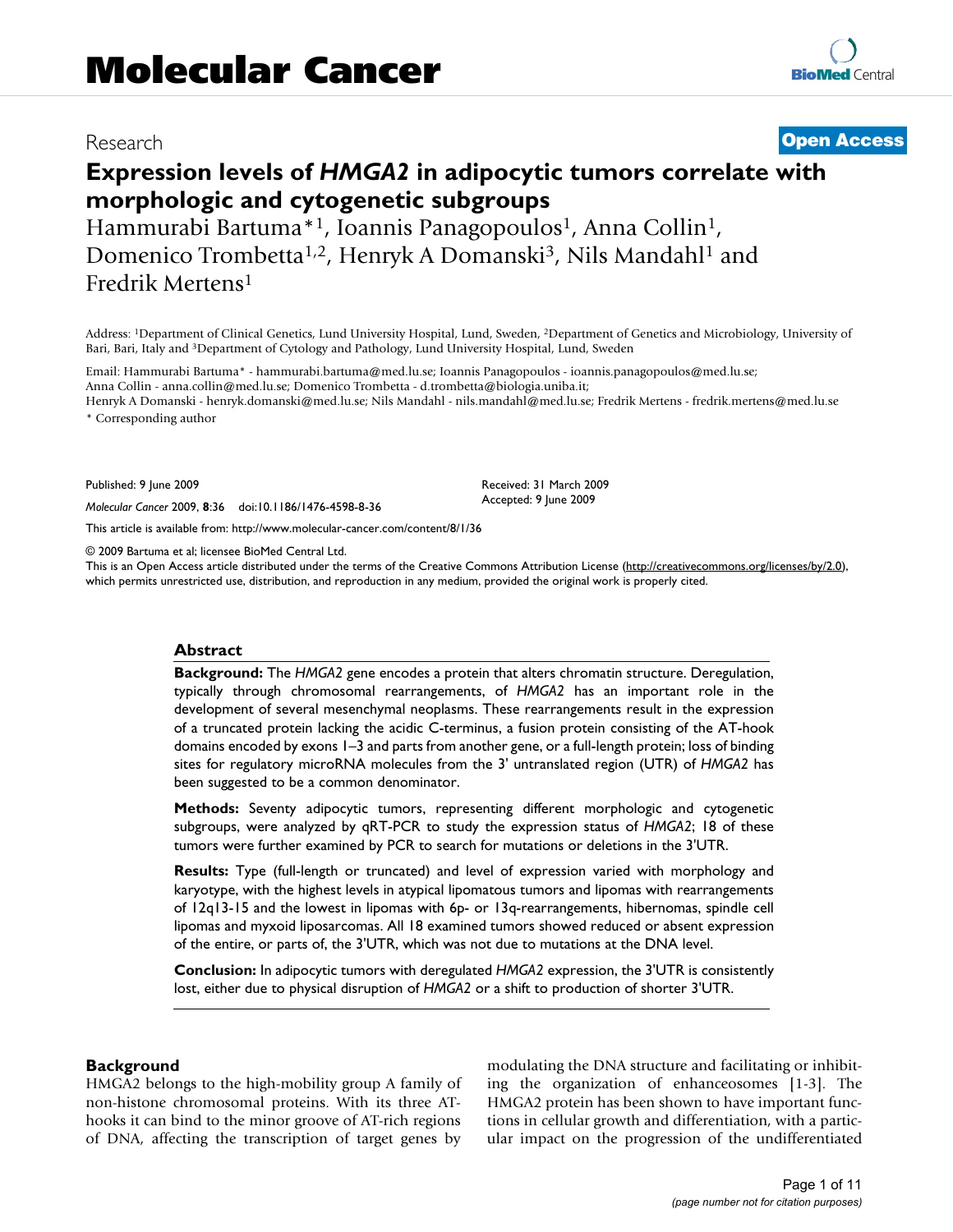## Research **[Open Access](http://www.biomedcentral.com/info/about/charter/)**

# **Expression levels of** *HMGA2* **in adipocytic tumors correlate with morphologic and cytogenetic subgroups**

Hammurabi Bartuma<sup>\*1</sup>, Ioannis Panagopoulos<sup>1</sup>, Anna Collin<sup>1</sup>, Domenico Trombetta<sup>1,2</sup>, Henryk A Domanski<sup>3</sup>, Nils Mandahl<sup>1</sup> and Fredrik Mertens1

Address: 1Department of Clinical Genetics, Lund University Hospital, Lund, Sweden, 2Department of Genetics and Microbiology, University of Bari, Bari, Italy and 3Department of Cytology and Pathology, Lund University Hospital, Lund, Sweden

Email: Hammurabi Bartuma\* - hammurabi.bartuma@med.lu.se; Ioannis Panagopoulos - ioannis.panagopoulos@med.lu.se; Anna Collin - anna.collin@med.lu.se; Domenico Trombetta - d.trombetta@biologia.uniba.it;

Henryk A Domanski - henryk.domanski@med.lu.se; Nils Mandahl - nils.mandahl@med.lu.se; Fredrik Mertens - fredrik.mertens@med.lu.se \* Corresponding author

Published: 9 June 2009

*Molecular Cancer* 2009, **8**:36 doi:10.1186/1476-4598-8-36

[This article is available from: http://www.molecular-cancer.com/content/8/1/36](http://www.molecular-cancer.com/content/8/1/36)

© 2009 Bartuma et al; licensee BioMed Central Ltd.

This is an Open Access article distributed under the terms of the Creative Commons Attribution License [\(http://creativecommons.org/licenses/by/2.0\)](http://creativecommons.org/licenses/by/2.0), which permits unrestricted use, distribution, and reproduction in any medium, provided the original work is properly cited.

Received: 31 March 2009 Accepted: 9 June 2009

#### **Abstract**

**Background:** The *HMGA2* gene encodes a protein that alters chromatin structure. Deregulation, typically through chromosomal rearrangements, of *HMGA2* has an important role in the development of several mesenchymal neoplasms. These rearrangements result in the expression of a truncated protein lacking the acidic C-terminus, a fusion protein consisting of the AT-hook domains encoded by exons 1–3 and parts from another gene, or a full-length protein; loss of binding sites for regulatory microRNA molecules from the 3' untranslated region (UTR) of *HMGA2* has been suggested to be a common denominator.

**Methods:** Seventy adipocytic tumors, representing different morphologic and cytogenetic subgroups, were analyzed by qRT-PCR to study the expression status of *HMGA2*; 18 of these tumors were further examined by PCR to search for mutations or deletions in the 3'UTR.

**Results:** Type (full-length or truncated) and level of expression varied with morphology and karyotype, with the highest levels in atypical lipomatous tumors and lipomas with rearrangements of 12q13-15 and the lowest in lipomas with 6p- or 13q-rearrangements, hibernomas, spindle cell lipomas and myxoid liposarcomas. All 18 examined tumors showed reduced or absent expression of the entire, or parts of, the 3'UTR, which was not due to mutations at the DNA level.

**Conclusion:** In adipocytic tumors with deregulated *HMGA2* expression, the 3'UTR is consistently lost, either due to physical disruption of *HMGA2* or a shift to production of shorter 3'UTR.

#### **Background**

HMGA2 belongs to the high-mobility group A family of non-histone chromosomal proteins. With its three AThooks it can bind to the minor groove of AT-rich regions of DNA, affecting the transcription of target genes by modulating the DNA structure and facilitating or inhibiting the organization of enhanceosomes [1-3]. The HMGA2 protein has been shown to have important functions in cellular growth and differentiation, with a particular impact on the progression of the undifferentiated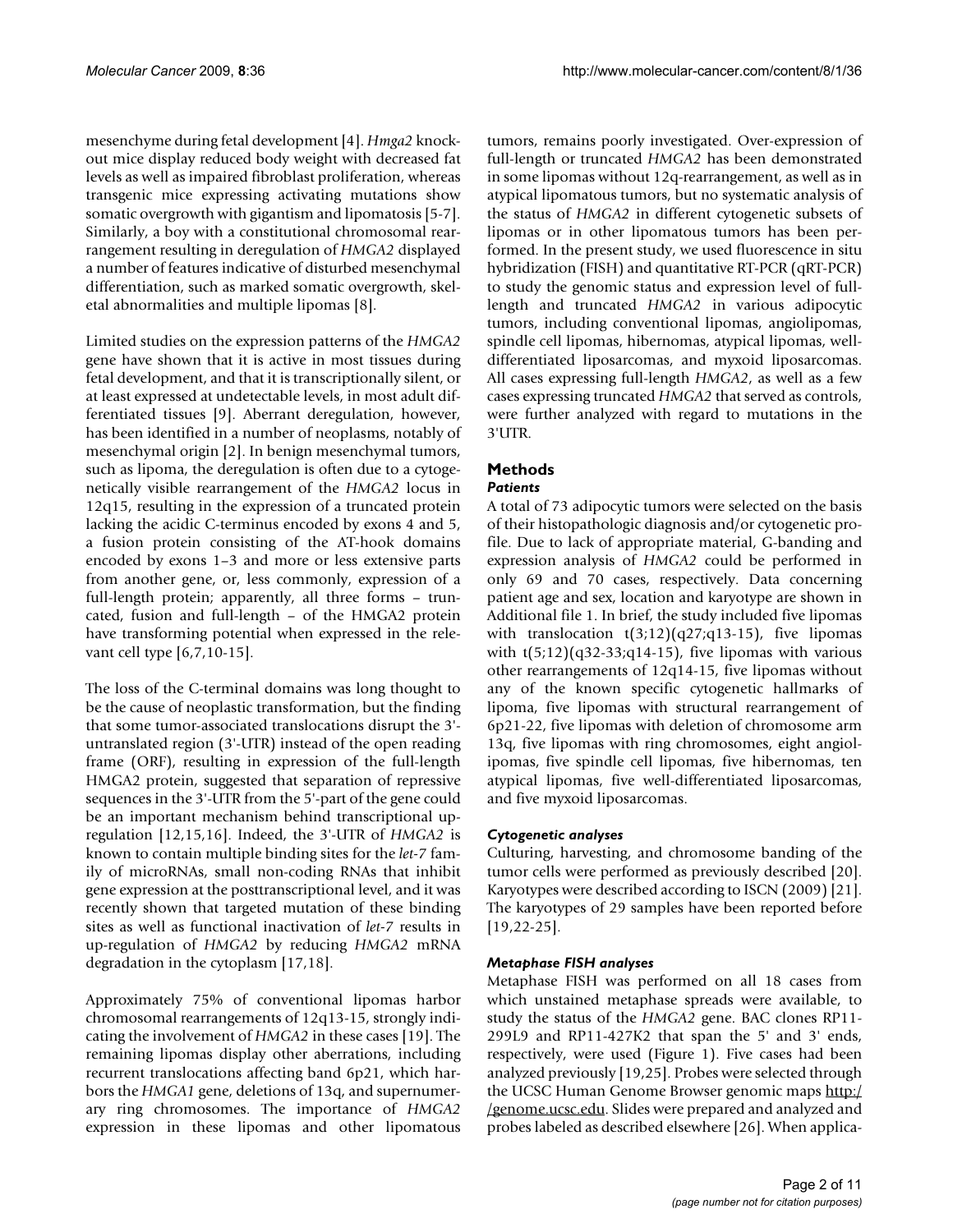mesenchyme during fetal development [4]. *Hmga2* knockout mice display reduced body weight with decreased fat levels as well as impaired fibroblast proliferation, whereas transgenic mice expressing activating mutations show somatic overgrowth with gigantism and lipomatosis [5-7]. Similarly, a boy with a constitutional chromosomal rearrangement resulting in deregulation of *HMGA2* displayed a number of features indicative of disturbed mesenchymal differentiation, such as marked somatic overgrowth, skeletal abnormalities and multiple lipomas [8].

Limited studies on the expression patterns of the *HMGA2* gene have shown that it is active in most tissues during fetal development, and that it is transcriptionally silent, or at least expressed at undetectable levels, in most adult differentiated tissues [9]. Aberrant deregulation, however, has been identified in a number of neoplasms, notably of mesenchymal origin [2]. In benign mesenchymal tumors, such as lipoma, the deregulation is often due to a cytogenetically visible rearrangement of the *HMGA2* locus in 12q15, resulting in the expression of a truncated protein lacking the acidic C-terminus encoded by exons 4 and 5, a fusion protein consisting of the AT-hook domains encoded by exons 1–3 and more or less extensive parts from another gene, or, less commonly, expression of a full-length protein; apparently, all three forms – truncated, fusion and full-length – of the HMGA2 protein have transforming potential when expressed in the relevant cell type [[6,](#page-9-0)7,10-15].

The loss of the C-terminal domains was long thought to be the cause of neoplastic transformation, but the finding that some tumor-associated translocations disrupt the 3' untranslated region (3'-UTR) instead of the open reading frame (ORF), resulting in expression of the full-length HMGA2 protein, suggested that separation of repressive sequences in the 3'-UTR from the 5'-part of the gene could be an important mechanism behind transcriptional upregulation [12,15,16]. Indeed, the 3'-UTR of *HMGA2* is known to contain multiple binding sites for the *let-7* family of microRNAs, small non-coding RNAs that inhibit gene expression at the posttranscriptional level, and it was recently shown that targeted mutation of these binding sites as well as functional inactivation of *let-7* results in up-regulation of *HMGA2* by reducing *HMGA2* mRNA degradation in the cytoplasm [17,18].

Approximately 75% of conventional lipomas harbor chromosomal rearrangements of 12q13-15, strongly indicating the involvement of *HMGA2* in these cases [19]. The remaining lipomas display other aberrations, including recurrent translocations affecting band 6p21, which harbors the *HMGA1* gene, deletions of 13q, and supernumerary ring chromosomes. The importance of *HMGA2* expression in these lipomas and other lipomatous tumors, remains poorly investigated. Over-expression of full-length or truncated *HMGA2* has been demonstrated in some lipomas without 12q-rearrangement, as well as in atypical lipomatous tumors, but no systematic analysis of the status of *HMGA2* in different cytogenetic subsets of lipomas or in other lipomatous tumors has been performed. In the present study, we used fluorescence in situ hybridization (FISH) and quantitative RT-PCR (qRT-PCR) to study the genomic status and expression level of fulllength and truncated *HMGA2* in various adipocytic tumors, including conventional lipomas, angiolipomas, spindle cell lipomas, hibernomas, atypical lipomas, welldifferentiated liposarcomas, and myxoid liposarcomas. All cases expressing full-length *HMGA2*, as well as a few cases expressing truncated *HMGA2* that served as controls, were further analyzed with regard to mutations in the 3'UTR.

# **Methods**

#### *Patients*

A total of 73 adipocytic tumors were selected on the basis of their histopathologic diagnosis and/or cytogenetic profile. Due to lack of appropriate material, G-banding and expression analysis of *HMGA2* could be performed in only 69 and 70 cases, respectively. Data concerning patient age and sex, location and karyotype are shown in Additional file 1. In brief, the study included five lipomas with translocation  $t(3;12)(q27;q13-15)$ , five lipomas with  $t(5;12)(q32-33;q14-15)$ , five lipomas with various other rearrangements of 12q14-15, five lipomas without any of the known specific cytogenetic hallmarks of lipoma, five lipomas with structural rearrangement of 6p21-22, five lipomas with deletion of chromosome arm 13q, five lipomas with ring chromosomes, eight angiolipomas, five spindle cell lipomas, five hibernomas, ten atypical lipomas, five well-differentiated liposarcomas, and five myxoid liposarcomas.

#### *Cytogenetic analyses*

Culturing, harvesting, and chromosome banding of the tumor cells were performed as previously described [20]. Karyotypes were described according to ISCN (2009) [21]. The karyotypes of 29 samples have been reported before [19,22-25].

#### *Metaphase FISH analyses*

Metaphase FISH was performed on all 18 cases from which unstained metaphase spreads were available, to study the status of the *HMGA2* gene. BAC clones RP11- 299L9 and RP11-427K2 that span the 5' and 3' ends, respectively, were used (Figure 1). Five cases had been analyzed previously [19,25]. Probes were selected through the UCSC Human Genome Browser genomic maps [http:/](http://genome.ucsc.edu) [/genome.ucsc.edu.](http://genome.ucsc.edu) Slides were prepared and analyzed and probes labeled as described elsewhere [26]. When applica-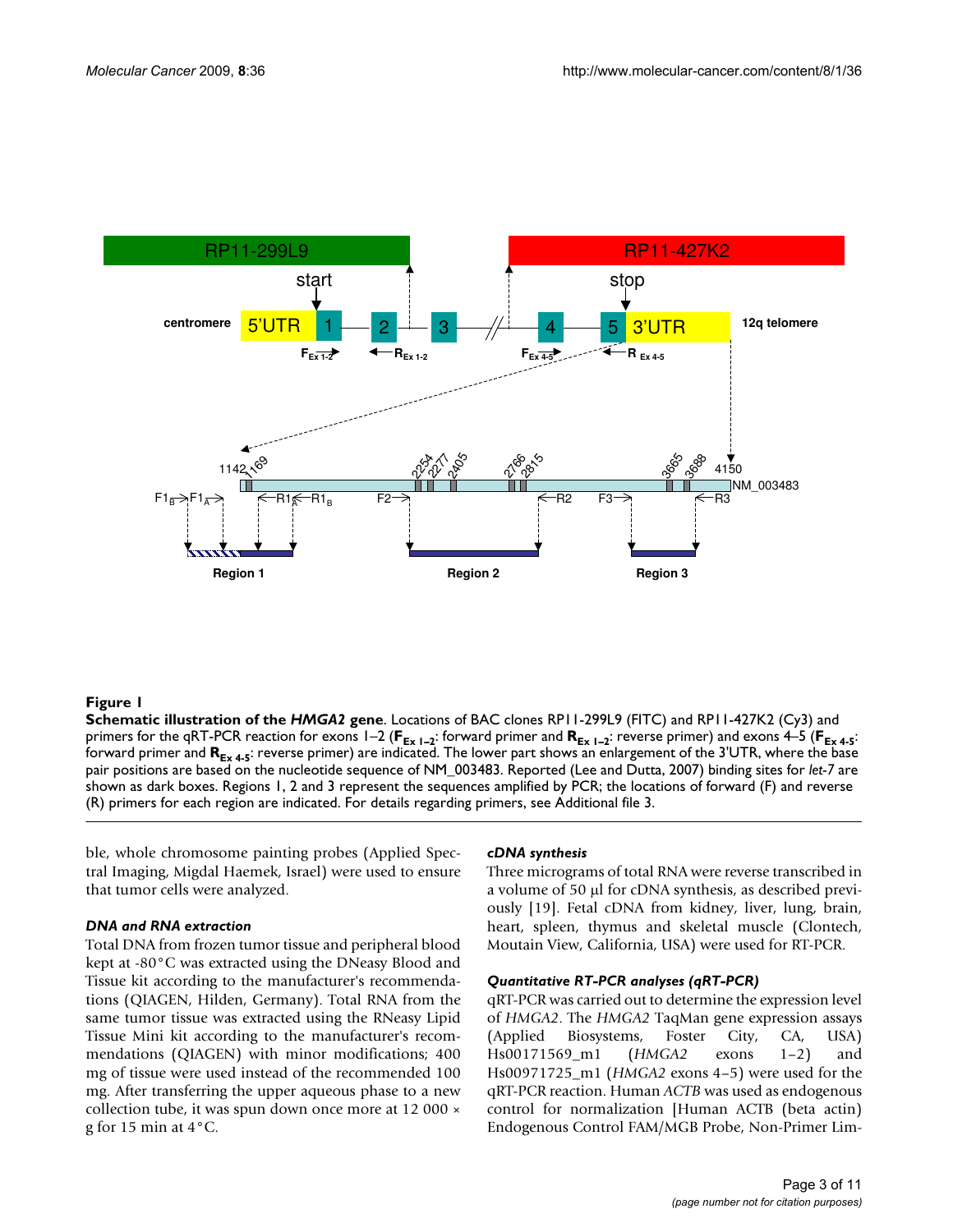

#### **Figure I**

**Schematic illustration of the** *HMGA2* **gene**. Locations of BAC clones RP11-299L9 (FITC) and RP11-427K2 (Cy3) and primers for the qRT-PCR reaction for exons  $I-2$  ( $F_{Ex\1-2}$ : forward primer and  $R_{Ex\1-2}$ : reverse primer) and exons 4–5 ( $F_{Ex\4-5}$ : forward primer and  $R_{Ex\,4-5}$ : reverse primer) are indicated. The lower part shows an enlargement of the 3'UTR, where the base pair positions are based on the nucleotide sequence of NM\_003483. Reported (Lee and Dutta, 2007) binding sites for *let-7* are shown as dark boxes. Regions 1, 2 and 3 represent the sequences amplified by PCR; the locations of forward (F) and reverse (R) primers for each region are indicated. For details regarding primers, see Additional file 3.

ble, whole chromosome painting probes (Applied Spectral Imaging, Migdal Haemek, Israel) were used to ensure that tumor cells were analyzed.

#### *DNA and RNA extraction*

Total DNA from frozen tumor tissue and peripheral blood kept at -80°C was extracted using the DNeasy Blood and Tissue kit according to the manufacturer's recommendations (QIAGEN, Hilden, Germany). Total RNA from the same tumor tissue was extracted using the RNeasy Lipid Tissue Mini kit according to the manufacturer's recommendations (QIAGEN) with minor modifications; 400 mg of tissue were used instead of the recommended 100 mg. After transferring the upper aqueous phase to a new collection tube, it was spun down once more at 12 000 × g for 15 min at 4°C.

#### *cDNA synthesis*

Three micrograms of total RNA were reverse transcribed in a volume of 50 μl for cDNA synthesis, as described previously [19]. Fetal cDNA from kidney, liver, lung, brain, heart, spleen, thymus and skeletal muscle (Clontech, Moutain View, California, USA) were used for RT-PCR.

#### *Quantitative RT-PCR analyses (qRT-PCR)*

qRT-PCR was carried out to determine the expression level of *HMGA2*. The *HMGA2* TaqMan gene expression assays (Applied Biosystems, Foster City, CA, USA) Hs00171569\_m1 (*HMGA2* exons 1–2) and Hs00971725\_m1 (*HMGA2* exons 4–5) were used for the qRT-PCR reaction. Human *ACTB* was used as endogenous control for normalization [Human ACTB (beta actin) Endogenous Control FAM/MGB Probe, Non-Primer Lim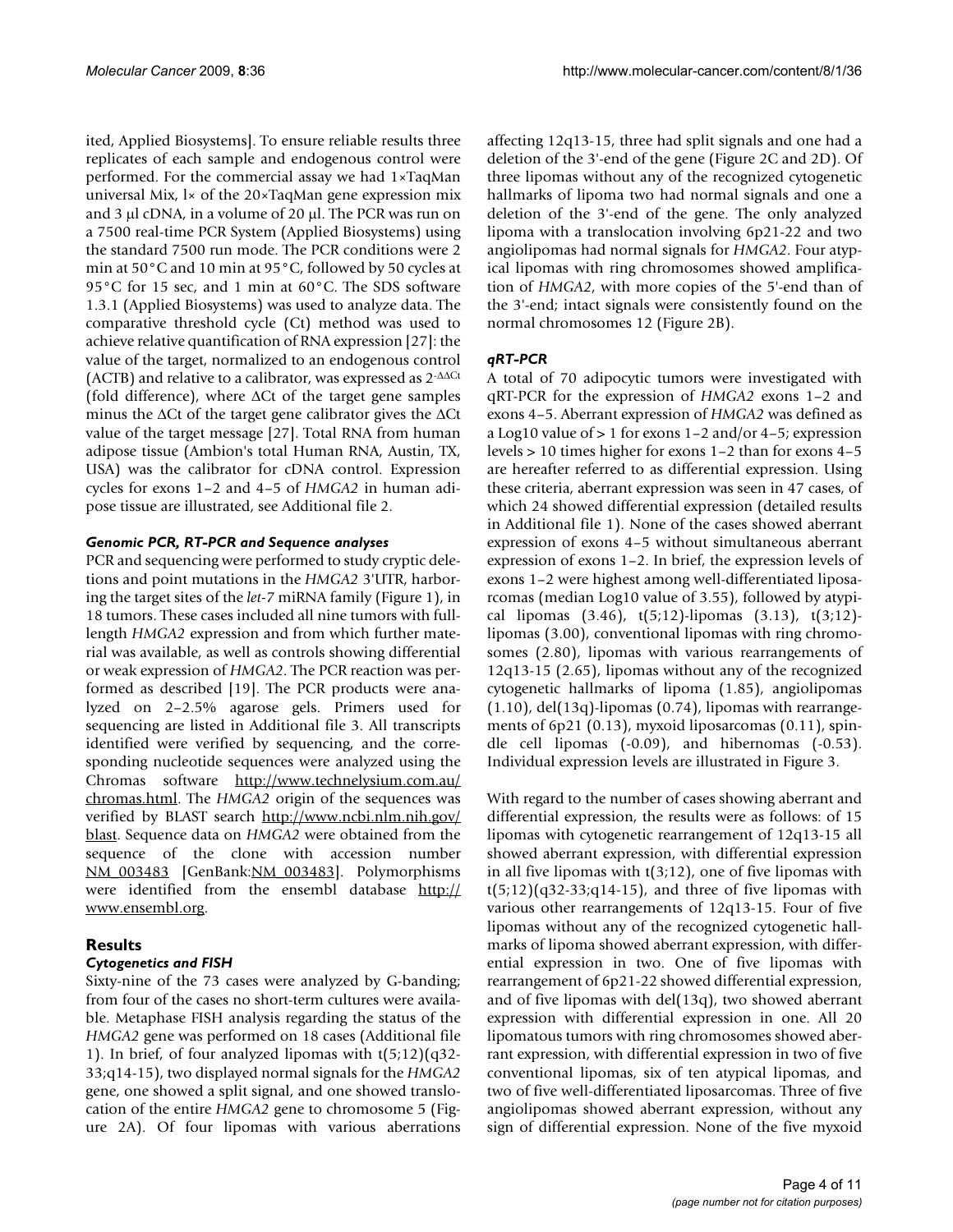ited, Applied Biosystems]. To ensure reliable results three replicates of each sample and endogenous control were performed. For the commercial assay we had 1×TaqMan universal Mix, l× of the 20×TaqMan gene expression mix and 3 μl cDNA, in a volume of 20 μl. The PCR was run on a 7500 real-time PCR System (Applied Biosystems) using the standard 7500 run mode. The PCR conditions were 2 min at 50°C and 10 min at 95°C, followed by 50 cycles at 95°C for 15 sec, and 1 min at 60°C. The SDS software 1.3.1 (Applied Biosystems) was used to analyze data. The comparative threshold cycle (Ct) method was used to achieve relative quantification of RNA expression [27]: the value of the target, normalized to an endogenous control (ACTB) and relative to a calibrator, was expressed as 2-ΔΔCt (fold difference), where ΔCt of the target gene samples minus the ΔCt of the target gene calibrator gives the ΔCt value of the target message [27]. Total RNA from human adipose tissue (Ambion's total Human RNA, Austin, TX, USA) was the calibrator for cDNA control. Expression cycles for exons 1–2 and 4–5 of *HMGA2* in human adipose tissue are illustrated, see Additional file 2.

#### *Genomic PCR, RT-PCR and Sequence analyses*

PCR and sequencing were performed to study cryptic deletions and point mutations in the *HMGA2* 3'UTR, harboring the target sites of the *let-7* miRNA family (Figure 1), in 18 tumors. These cases included all nine tumors with fulllength *HMGA2* expression and from which further material was available, as well as controls showing differential or weak expression of *HMGA2*. The PCR reaction was performed as described [19]. The PCR products were analyzed on 2–2.5% agarose gels. Primers used for sequencing are listed in Additional file 3. All transcripts identified were verified by sequencing, and the corresponding nucleotide sequences were analyzed using the Chromas software [http://www.technelysium.com.au/](http://www.technelysium.com.au/chromas.html) [chromas.html](http://www.technelysium.com.au/chromas.html). The *HMGA2* origin of the sequences was verified by BLAST search [http://www.ncbi.nlm.nih.gov/](http://www.ncbi.nlm.nih.gov/blast) [blast](http://www.ncbi.nlm.nih.gov/blast). Sequence data on *HMGA2* were obtained from the sequence of the clone with accession number [NM\\_003483](http://www.ncbi.nih.gov/entrez/query.fcgi?db=Nucleotide&cmd=search&term=NM_003483) [GenBank:[NM\\_003483](http://www.ncbi.nih.gov/entrez/query.fcgi?db=Nucleotide&cmd=search&term=NM_003483)]. Polymorphisms were identified from the ensembl database [http://](http://www.ensembl.org) [www.ensembl.org](http://www.ensembl.org).

#### **Results**

#### *Cytogenetics and FISH*

Sixty-nine of the 73 cases were analyzed by G-banding; from four of the cases no short-term cultures were available. Metaphase FISH analysis regarding the status of the *HMGA2* gene was performed on 18 cases (Additional file 1). In brief, of four analyzed lipomas with  $t(5;12)(q32-$ 33;q14-15), two displayed normal signals for the *HMGA2* gene, one showed a split signal, and one showed translocation of the entire *HMGA2* gene to chromosome 5 (Figure 2A). Of four lipomas with various aberrations

affecting 12q13-15, three had split signals and one had a deletion of the 3'-end of the gene (Figure 2C and 2D). Of three lipomas without any of the recognized cytogenetic hallmarks of lipoma two had normal signals and one a deletion of the 3'-end of the gene. The only analyzed lipoma with a translocation involving 6p21-22 and two angiolipomas had normal signals for *HMGA2*. Four atypical lipomas with ring chromosomes showed amplification of *HMGA2*, with more copies of the 5'-end than of the 3'-end; intact signals were consistently found on the normal chromosomes 12 (Figure 2B).

#### *qRT-PCR*

A total of 70 adipocytic tumors were investigated with qRT-PCR for the expression of *HMGA2* exons 1–2 and exons 4–5. Aberrant expression of *HMGA2* was defined as a Log10 value of > 1 for exons 1–2 and/or 4–5; expression levels > 10 times higher for exons 1–2 than for exons 4–5 are hereafter referred to as differential expression. Using these criteria, aberrant expression was seen in 47 cases, of which 24 showed differential expression (detailed results in Additional file 1). None of the cases showed aberrant expression of exons 4–5 without simultaneous aberrant expression of exons 1–2. In brief, the expression levels of exons 1–2 were highest among well-differentiated liposarcomas (median Log10 value of 3.55), followed by atypical lipomas (3.46), t(5;12)-lipomas (3.13), t(3;12) lipomas (3.00), conventional lipomas with ring chromosomes (2.80), lipomas with various rearrangements of 12q13-15 (2.65), lipomas without any of the recognized cytogenetic hallmarks of lipoma (1.85), angiolipomas  $(1.10)$ , del $(13q)$ -lipomas  $(0.74)$ , lipomas with rearrangements of 6p21 (0.13), myxoid liposarcomas (0.11), spindle cell lipomas (-0.09), and hibernomas (-0.53). Individual expression levels are illustrated in Figure 3.

With regard to the number of cases showing aberrant and differential expression, the results were as follows: of 15 lipomas with cytogenetic rearrangement of 12q13-15 all showed aberrant expression, with differential expression in all five lipomas with  $t(3,12)$ , one of five lipomas with  $t(5;12)(q32-33;q14-15)$ , and three of five lipomas with various other rearrangements of 12q13-15. Four of five lipomas without any of the recognized cytogenetic hallmarks of lipoma showed aberrant expression, with differential expression in two. One of five lipomas with rearrangement of 6p21-22 showed differential expression, and of five lipomas with del(13q), two showed aberrant expression with differential expression in one. All 20 lipomatous tumors with ring chromosomes showed aberrant expression, with differential expression in two of five conventional lipomas, six of ten atypical lipomas, and two of five well-differentiated liposarcomas. Three of five angiolipomas showed aberrant expression, without any sign of differential expression. None of the five myxoid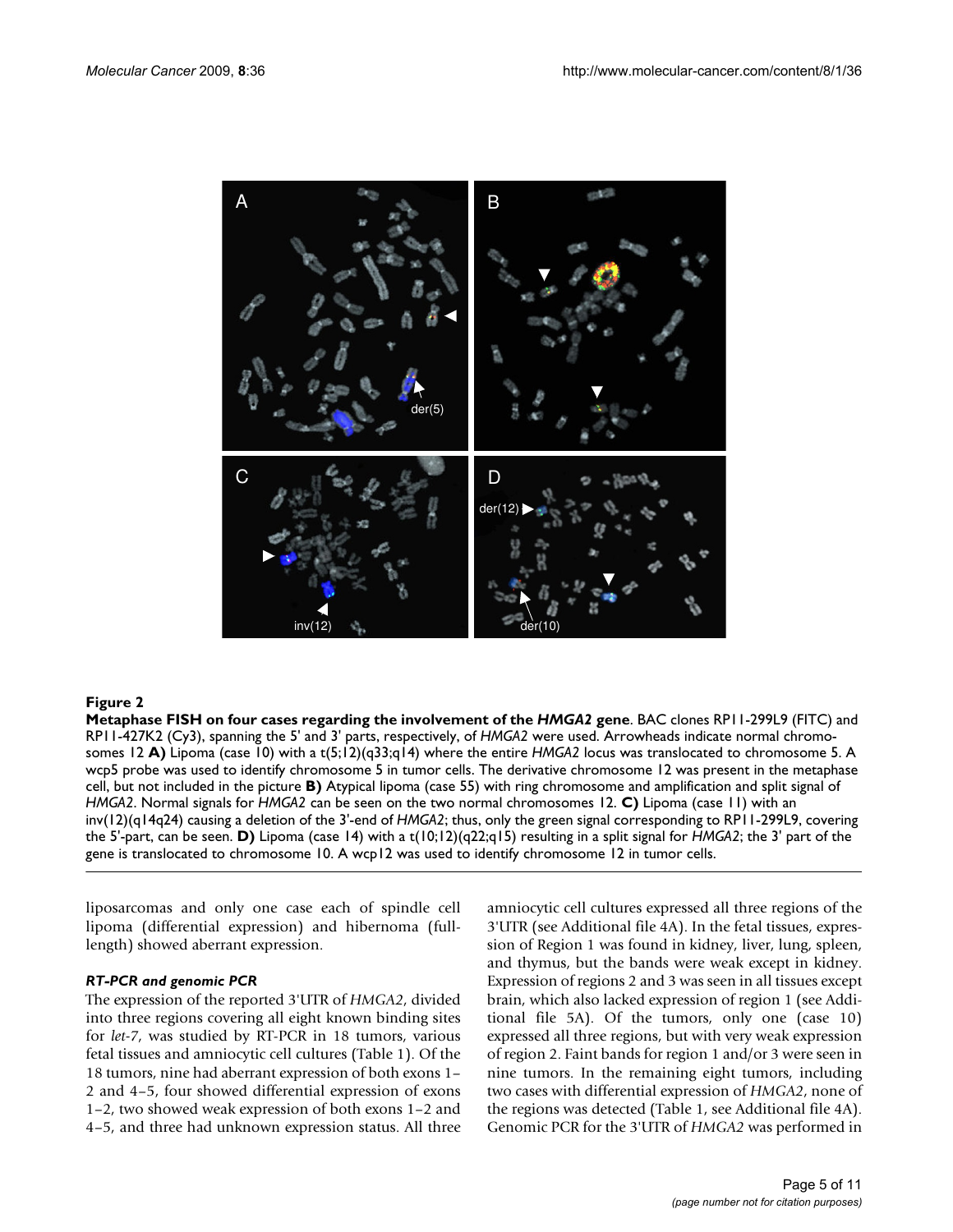

#### Metaphase FISH on four cases re **Figure 2** garding the involvement of the *HMGA2* gene

**Metaphase FISH on four cases regarding the involvement of the** *HMGA2* **gene**. BAC clones RP11-299L9 (FITC) and RP11-427K2 (Cy3), spanning the 5' and 3' parts, respectively, of *HMGA2* were used. Arrowheads indicate normal chromosomes 12 **A)** Lipoma (case 10) with a t(5;12)(q33;q14) where the entire *HMGA2* locus was translocated to chromosome 5. A wcp5 probe was used to identify chromosome 5 in tumor cells. The derivative chromosome 12 was present in the metaphase cell, but not included in the picture **B)** Atypical lipoma (case 55) with ring chromosome and amplification and split signal of *HMGA2*. Normal signals for *HMGA2* can be seen on the two normal chromosomes 12. **C)** Lipoma (case 11) with an inv(12)(q14q24) causing a deletion of the 3'-end of *HMGA2*; thus, only the green signal corresponding to RP11-299L9, covering the 5'-part, can be seen. **D)** Lipoma (case 14) with a t(10;12)(q22;q15) resulting in a split signal for *HMGA2*; the 3' part of the gene is translocated to chromosome 10. A wcp12 was used to identify chromosome 12 in tumor cells.

liposarcomas and only one case each of spindle cell lipoma (differential expression) and hibernoma (fulllength) showed aberrant expression.

#### *RT-PCR and genomic PCR*

The expression of the reported 3'UTR of *HMGA2*, divided into three regions covering all eight known binding sites for *let-7*, was studied by RT-PCR in 18 tumors, various fetal tissues and amniocytic cell cultures (Table 1). Of the 18 tumors, nine had aberrant expression of both exons 1– 2 and 4–5, four showed differential expression of exons 1–2, two showed weak expression of both exons 1–2 and 4–5, and three had unknown expression status. All three amniocytic cell cultures expressed all three regions of the 3'UTR (see Additional file 4A). In the fetal tissues, expression of Region 1 was found in kidney, liver, lung, spleen, and thymus, but the bands were weak except in kidney. Expression of regions 2 and 3 was seen in all tissues except brain, which also lacked expression of region 1 (see Additional file 5A). Of the tumors, only one (case 10) expressed all three regions, but with very weak expression of region 2. Faint bands for region 1 and/or 3 were seen in nine tumors. In the remaining eight tumors, including two cases with differential expression of *HMGA2*, none of the regions was detected (Table 1, see Additional file 4A). Genomic PCR for the 3'UTR of *HMGA2* was performed in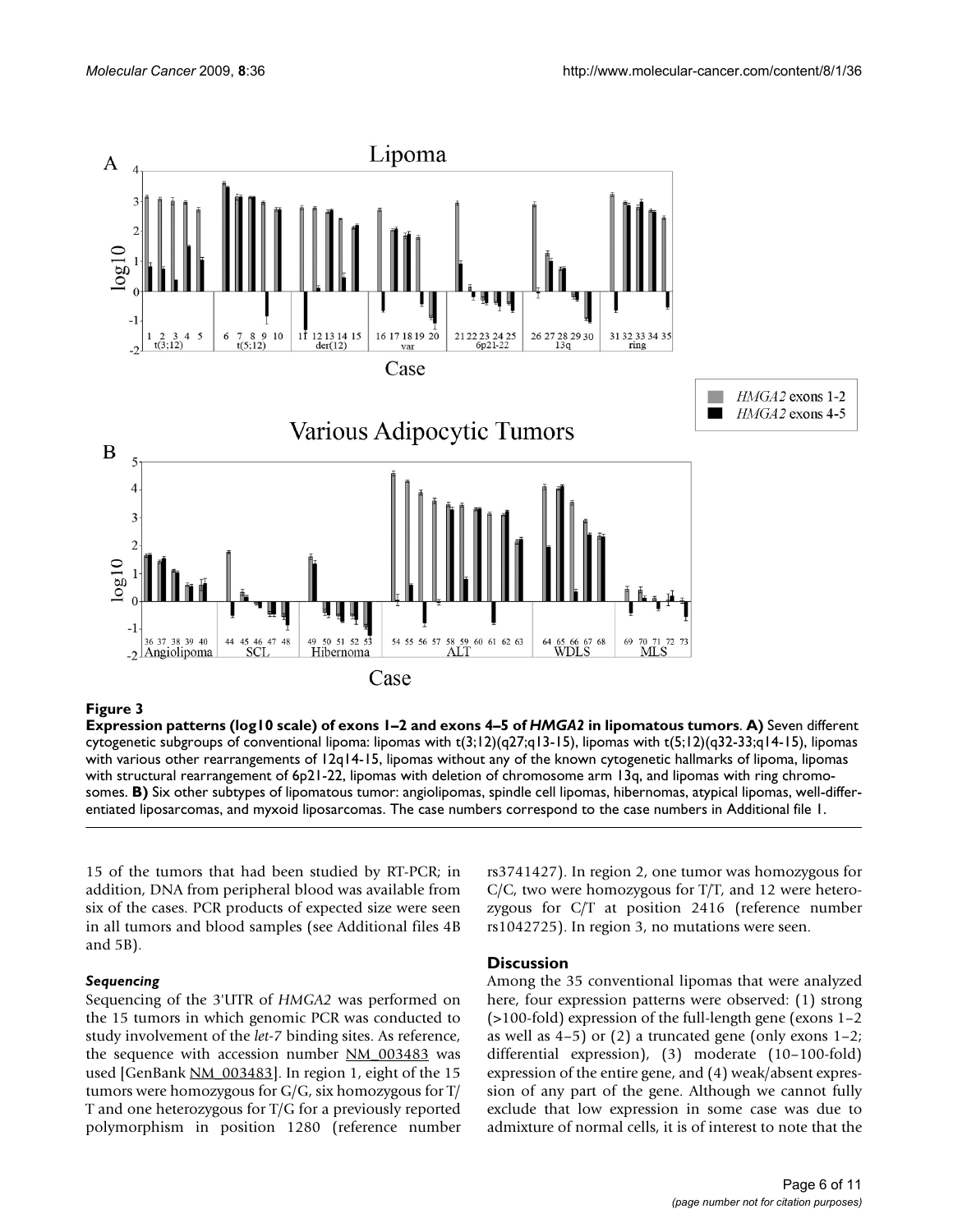

#### Expression patterns (log10 scale) of exons 1–2 and exons 4–5 of **Figure 3** *HMGA2* in lipomatous tumors

**Expression patterns (log10 scale) of exons 1–2 and exons 4–5 of** *HMGA2* **in lipomatous tumors. A) Seven different** cytogenetic subgroups of conventional lipoma: lipomas with t(3;12)(q27;q13-15), lipomas with t(5;12)(q32-33;q14-15), lipomas with various other rearrangements of 12q14-15, lipomas without any of the known cytogenetic hallmarks of lipoma, lipomas with structural rearrangement of 6p21-22, lipomas with deletion of chromosome arm 13q, and lipomas with ring chromosomes. **B)** Six other subtypes of lipomatous tumor: angiolipomas, spindle cell lipomas, hibernomas, atypical lipomas, well-differentiated liposarcomas, and myxoid liposarcomas. The case numbers correspond to the case numbers in Additional file 1.

15 of the tumors that had been studied by RT-PCR; in addition, DNA from peripheral blood was available from six of the cases. PCR products of expected size were seen in all tumors and blood samples (see Additional files 4B and 5B).

#### *Sequencing*

Sequencing of the 3'UTR of *HMGA2* was performed on the 15 tumors in which genomic PCR was conducted to study involvement of the *let-7* binding sites. As reference, the sequence with accession number [NM\\_003483](http://www.ncbi.nih.gov/entrez/query.fcgi?db=Nucleotide&cmd=search&term=NM_003483) was used [GenBank [NM\\_003483](http://www.ncbi.nih.gov/entrez/query.fcgi?db=Nucleotide&cmd=search&term=NM_003483)]. In region 1, eight of the 15 tumors were homozygous for G/G, six homozygous for T/ T and one heterozygous for T/G for a previously reported polymorphism in position 1280 (reference number rs3741427). In region 2, one tumor was homozygous for C/C, two were homozygous for T/T, and 12 were heterozygous for C/T at position 2416 (reference number rs1042725). In region 3, no mutations were seen.

#### **Discussion**

Among the 35 conventional lipomas that were analyzed here, four expression patterns were observed: (1) strong (>100-fold) expression of the full-length gene (exons 1–2 as well as  $4-5$ ) or  $(2)$  a truncated gene (only exons  $1-2$ ; differential expression), (3) moderate (10–100-fold) expression of the entire gene, and (4) weak/absent expression of any part of the gene. Although we cannot fully exclude that low expression in some case was due to admixture of normal cells, it is of interest to note that the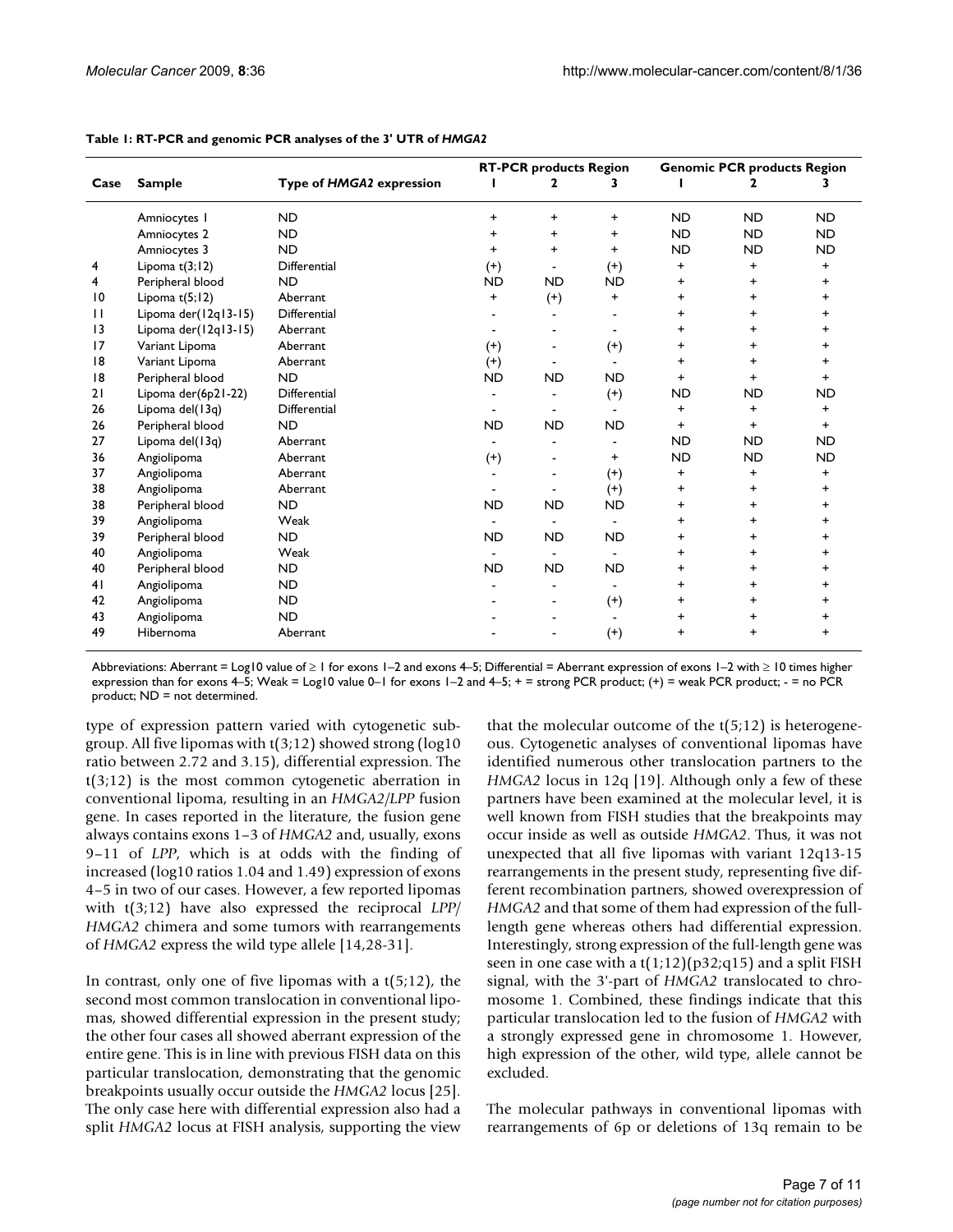| Case            | <b>Sample</b>           | Type of HMGA2 expression | <b>RT-PCR products Region</b> |                              |                | <b>Genomic PCR products Region</b> |           |           |
|-----------------|-------------------------|--------------------------|-------------------------------|------------------------------|----------------|------------------------------------|-----------|-----------|
|                 |                         |                          |                               | 2                            | 3              |                                    | 2         | 3         |
|                 | Amniocytes I            | <b>ND</b>                | $\ddot{}$                     | $\ddot{}$                    | $\ddot{}$      | <b>ND</b>                          | <b>ND</b> | <b>ND</b> |
|                 | Amniocytes 2            | <b>ND</b>                | $\ddot{}$                     | +                            | $\ddot{}$      | <b>ND</b>                          | <b>ND</b> | <b>ND</b> |
|                 | Amniocytes 3            | <b>ND</b>                | $\ddot{}$                     | $\ddot{}$                    | $\ddot{}$      | <b>ND</b>                          | <b>ND</b> | <b>ND</b> |
| 4               | Lipoma $t(3;12)$        | Differential             | $^{(+)}$                      | $\qquad \qquad \blacksquare$ | $^{(+)}$       | $\ddot{}$                          | +         | $\ddot{}$ |
| 4               | Peripheral blood        | <b>ND</b>                | <b>ND</b>                     | <b>ND</b>                    | <b>ND</b>      | $\ddot{}$                          | $\ddot{}$ | +         |
| $\overline{10}$ | Lipoma $t(5;12)$        | Aberrant                 | $\ddot{}$                     | $^{(+)}$                     | $\ddot{}$      | $\ddot{}$                          | $\ddot{}$ | $\ddot{}$ |
| $\mathbf{H}$    | Lipoma der $(12q13-15)$ | Differential             |                               |                              |                | $\ddot{}$                          | $\ddot{}$ | $\ddot{}$ |
| $\overline{13}$ | Lipoma der $(12q13-15)$ | Aberrant                 |                               |                              |                | $\ddot{}$                          | $\ddot{}$ | +         |
| 17              | Variant Lipoma          | Aberrant                 | $^{(+)}$                      | ٠                            | $^{(+)}$       | $\ddot{}$                          | $\ddot{}$ | +         |
| 18              | Variant Lipoma          | Aberrant                 | $(+)$                         |                              |                | $\ddot{}$                          | $\ddot{}$ | +         |
| 18              | Peripheral blood        | <b>ND</b>                | <b>ND</b>                     | <b>ND</b>                    | <b>ND</b>      | $\ddot{}$                          | $\ddot{}$ | $\ddot{}$ |
| 21              | Lipoma der(6p21-22)     | Differential             | $\overline{\phantom{a}}$      | ٠                            | $^{(+)}$       | <b>ND</b>                          | <b>ND</b> | <b>ND</b> |
| 26              | Lipoma del(13q)         | Differential             |                               |                              |                | $\ddot{}$                          | $\ddot{}$ | $\ddot{}$ |
| 26              | Peripheral blood        | <b>ND</b>                | <b>ND</b>                     | <b>ND</b>                    | <b>ND</b>      | $\ddot{}$                          | $\ddot{}$ | $\ddot{}$ |
| 27              | Lipoma del(13q)         | Aberrant                 | $\blacksquare$                | ٠                            |                | <b>ND</b>                          | <b>ND</b> | <b>ND</b> |
| 36              | Angiolipoma             | Aberrant                 | $^{(+)}$                      | ٠                            | $\ddot{}$      | <b>ND</b>                          | <b>ND</b> | <b>ND</b> |
| 37              | Angiolipoma             | Aberrant                 |                               |                              | $^{(+)}$       | $\ddot{}$                          | $\ddot{}$ | +         |
| 38              | Angiolipoma             | Aberrant                 |                               |                              | $^{(+)}$       | +                                  | $\ddot{}$ | +         |
| 38              | Peripheral blood        | <b>ND</b>                | <b>ND</b>                     | <b>ND</b>                    | <b>ND</b>      | $\ddot{}$                          | $\ddot{}$ | +         |
| 39              | Angiolipoma             | Weak                     | $\blacksquare$                | $\blacksquare$               |                | +                                  | $\ddot{}$ | +         |
| 39              | Peripheral blood        | <b>ND</b>                | <b>ND</b>                     | <b>ND</b>                    | <b>ND</b>      | $\ddot{}$                          | $\ddot{}$ | $\ddot{}$ |
| 40              | Angiolipoma             | Weak                     | $\blacksquare$                | $\blacksquare$               | $\blacksquare$ | $\ddot{}$                          | $\ddot{}$ | +         |
| 40              | Peripheral blood        | <b>ND</b>                | <b>ND</b>                     | <b>ND</b>                    | <b>ND</b>      | $\ddot{}$                          | +         | $\ddot{}$ |
| 41              | Angiolipoma             | <b>ND</b>                |                               | ٠                            |                | $\ddot{}$                          | $\ddot{}$ | +         |
| 42              | Angiolipoma             | <b>ND</b>                |                               | $\blacksquare$               | $^{(+)}$       | +                                  | $\ddot{}$ | $\ddot{}$ |
| 43              | Angiolipoma             | <b>ND</b>                |                               |                              |                | +                                  | $\ddot{}$ | +         |
| 49              | Hibernoma               | Aberrant                 |                               |                              | $^{(+)}$       | $\ddot{}$                          | $\ddot{}$ | +         |

#### **Table 1: RT-PCR and genomic PCR analyses of the 3' UTR of** *HMGA2*

Abbreviations: Aberrant = Log10 value of ≥ 1 for exons 1–2 and exons 4–5; Differential = Aberrant expression of exons 1–2 with ≥ 10 times higher expression than for exons 4–5; Weak = Log10 value 0–1 for exons 1–2 and 4–5; + = strong PCR product; (+) = weak PCR product; - = no PCR product; ND = not determined.

type of expression pattern varied with cytogenetic subgroup. All five lipomas with t(3;12) showed strong (log10 ratio between 2.72 and 3.15), differential expression. The t(3;12) is the most common cytogenetic aberration in conventional lipoma, resulting in an *HMGA2/LPP* fusion gene. In cases reported in the literature, the fusion gene always contains exons 1–3 of *HMGA2* and, usually, exons 9–11 of *LPP*, which is at odds with the finding of increased (log10 ratios 1.04 and 1.49) expression of exons 4–5 in two of our cases. However, a few reported lipomas with t(3;12) have also expressed the reciprocal *LPP/ HMGA2* chimera and some tumors with rearrangements of *HMGA2* express the wild type allele [14,28-31].

In contrast, only one of five lipomas with a  $t(5,12)$ , the second most common translocation in conventional lipomas, showed differential expression in the present study; the other four cases all showed aberrant expression of the entire gene. This is in line with previous FISH data on this particular translocation, demonstrating that the genomic breakpoints usually occur outside the *HMGA2* locus [25]. The only case here with differential expression also had a split *HMGA2* locus at FISH analysis, supporting the view

that the molecular outcome of the  $t(5;12)$  is heterogeneous. Cytogenetic analyses of conventional lipomas have identified numerous other translocation partners to the *HMGA2* locus in 12q [19]. Although only a few of these partners have been examined at the molecular level, it is well known from FISH studies that the breakpoints may occur inside as well as outside *HMGA2*. Thus, it was not unexpected that all five lipomas with variant 12q13-15 rearrangements in the present study, representing five different recombination partners, showed overexpression of *HMGA2* and that some of them had expression of the fulllength gene whereas others had differential expression. Interestingly, strong expression of the full-length gene was seen in one case with a  $t(1,12)(p32,q15)$  and a split FISH signal, with the 3'-part of *HMGA2* translocated to chromosome 1. Combined, these findings indicate that this particular translocation led to the fusion of *HMGA2* with a strongly expressed gene in chromosome 1. However, high expression of the other, wild type, allele cannot be excluded.

The molecular pathways in conventional lipomas with rearrangements of 6p or deletions of 13q remain to be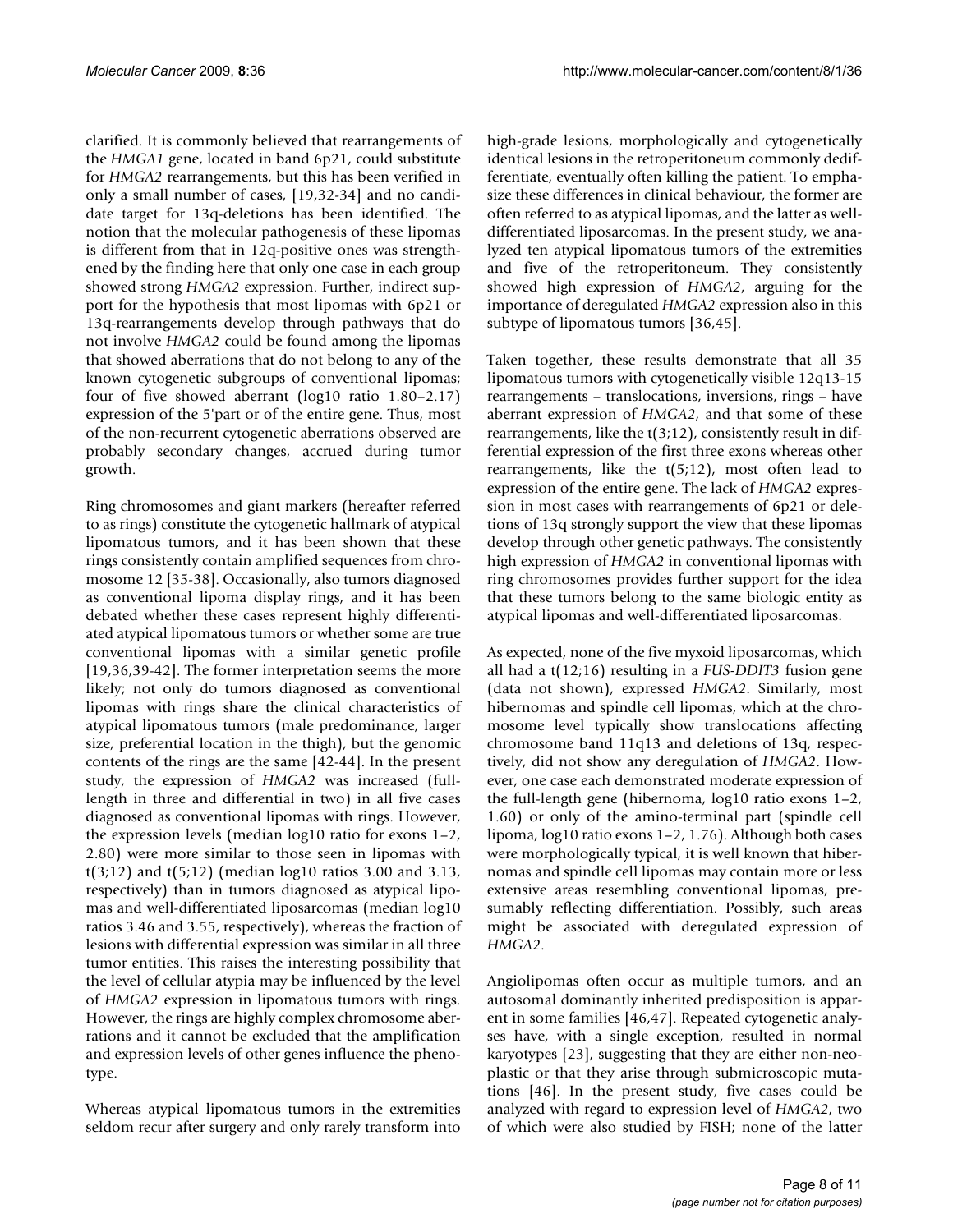clarified. It is commonly believed that rearrangements of the *HMGA1* gene, located in band 6p21, could substitute for *HMGA2* rearrangements, but this has been verified in only a small number of cases, [19,32-34] and no candidate target for 13q-deletions has been identified. The notion that the molecular pathogenesis of these lipomas is different from that in 12q-positive ones was strengthened by the finding here that only one case in each group showed strong *HMGA2* expression. Further, indirect support for the hypothesis that most lipomas with 6p21 or 13q-rearrangements develop through pathways that do not involve *HMGA2* could be found among the lipomas that showed aberrations that do not belong to any of the known cytogenetic subgroups of conventional lipomas; four of five showed aberrant (log10 ratio 1.80–2.17) expression of the 5'part or of the entire gene. Thus, most of the non-recurrent cytogenetic aberrations observed are probably secondary changes, accrued during tumor growth.

Ring chromosomes and giant markers (hereafter referred to as rings) constitute the cytogenetic hallmark of atypical lipomatous tumors, and it has been shown that these rings consistently contain amplified sequences from chromosome 12 [35-38]. Occasionally, also tumors diagnosed as conventional lipoma display rings, and it has been debated whether these cases represent highly differentiated atypical lipomatous tumors or whether some are true conventional lipomas with a similar genetic profile [19,36,39-42]. The former interpretation seems the more likely; not only do tumors diagnosed as conventional lipomas with rings share the clinical characteristics of atypical lipomatous tumors (male predominance, larger size, preferential location in the thigh), but the genomic contents of the rings are the same [42-44]. In the present study, the expression of *HMGA2* was increased (fulllength in three and differential in two) in all five cases diagnosed as conventional lipomas with rings. However, the expression levels (median log10 ratio for exons 1–2, 2.80) were more similar to those seen in lipomas with  $t(3;12)$  and  $t(5;12)$  (median log10 ratios 3.00 and 3.13, respectively) than in tumors diagnosed as atypical lipomas and well-differentiated liposarcomas (median log10 ratios 3.46 and 3.55, respectively), whereas the fraction of lesions with differential expression was similar in all three tumor entities. This raises the interesting possibility that the level of cellular atypia may be influenced by the level of *HMGA2* expression in lipomatous tumors with rings. However, the rings are highly complex chromosome aberrations and it cannot be excluded that the amplification and expression levels of other genes influence the phenotype.

Whereas atypical lipomatous tumors in the extremities seldom recur after surgery and only rarely transform into

high-grade lesions, morphologically and cytogenetically identical lesions in the retroperitoneum commonly dedifferentiate, eventually often killing the patient. To emphasize these differences in clinical behaviour, the former are often referred to as atypical lipomas, and the latter as welldifferentiated liposarcomas. In the present study, we analyzed ten atypical lipomatous tumors of the extremities and five of the retroperitoneum. They consistently showed high expression of *HMGA2*, arguing for the importance of deregulated *HMGA2* expression also in this subtype of lipomatous tumors [36,45].

Taken together, these results demonstrate that all 35 lipomatous tumors with cytogenetically visible 12q13-15 rearrangements – translocations, inversions, rings – have aberrant expression of *HMGA2*, and that some of these rearrangements, like the  $t(3,12)$ , consistently result in differential expression of the first three exons whereas other rearrangements, like the  $t(5,12)$ , most often lead to expression of the entire gene. The lack of *HMGA2* expression in most cases with rearrangements of 6p21 or deletions of 13q strongly support the view that these lipomas develop through other genetic pathways. The consistently high expression of *HMGA2* in conventional lipomas with ring chromosomes provides further support for the idea that these tumors belong to the same biologic entity as atypical lipomas and well-differentiated liposarcomas.

As expected, none of the five myxoid liposarcomas, which all had a t(12;16) resulting in a *FUS-DDIT3* fusion gene (data not shown), expressed *HMGA2*. Similarly, most hibernomas and spindle cell lipomas, which at the chromosome level typically show translocations affecting chromosome band 11q13 and deletions of 13q, respectively, did not show any deregulation of *HMGA2*. However, one case each demonstrated moderate expression of the full-length gene (hibernoma, log10 ratio exons 1–2, 1.60) or only of the amino-terminal part (spindle cell lipoma, log10 ratio exons 1–2, 1.76). Although both cases were morphologically typical, it is well known that hibernomas and spindle cell lipomas may contain more or less extensive areas resembling conventional lipomas, presumably reflecting differentiation. Possibly, such areas might be associated with deregulated expression of *HMGA2*.

Angiolipomas often occur as multiple tumors, and an autosomal dominantly inherited predisposition is apparent in some families [46,47]. Repeated cytogenetic analyses have, with a single exception, resulted in normal karyotypes [23], suggesting that they are either non-neoplastic or that they arise through submicroscopic mutations [46]. In the present study, five cases could be analyzed with regard to expression level of *HMGA2*, two of which were also studied by FISH; none of the latter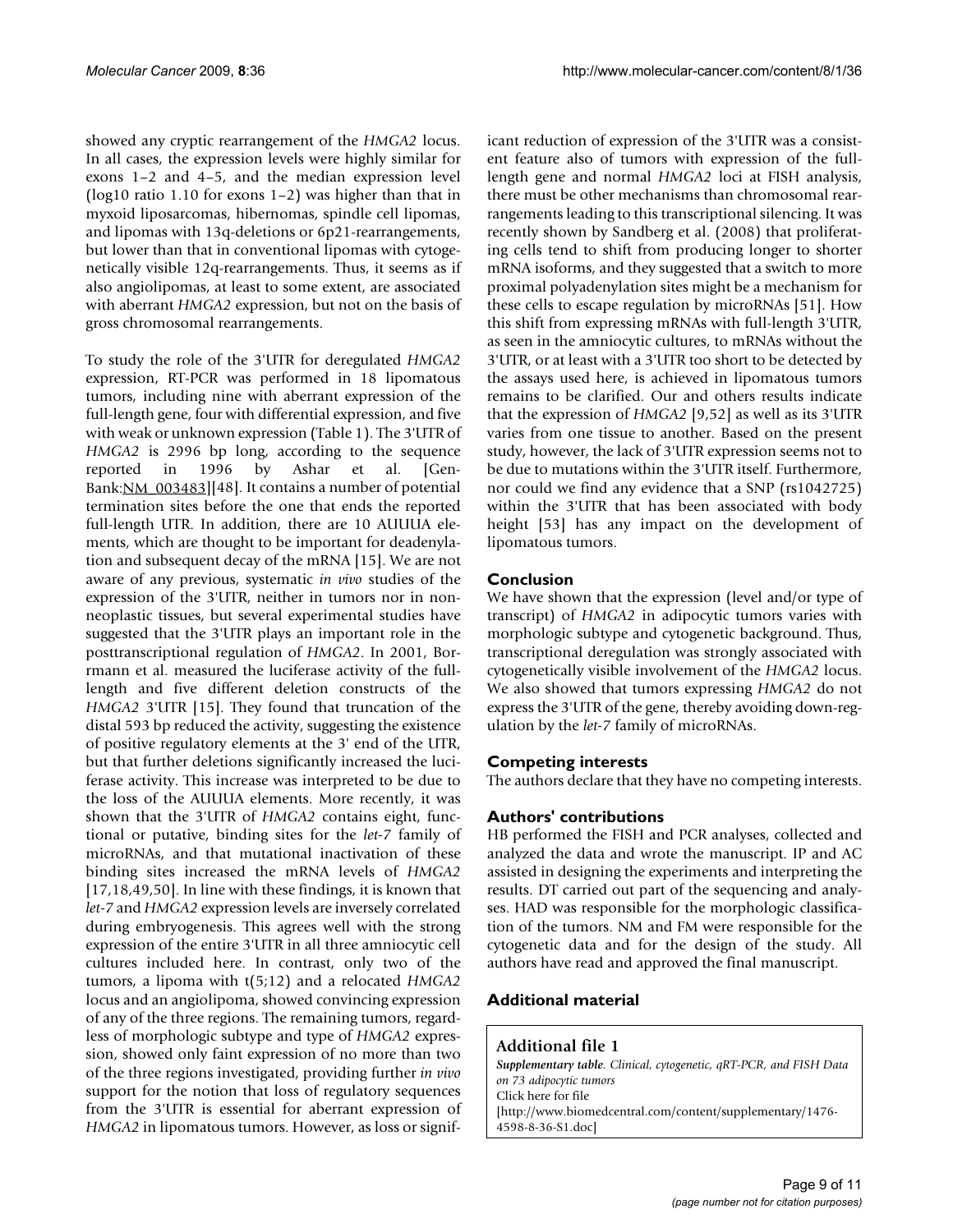showed any cryptic rearrangement of the *HMGA2* locus. In all cases, the expression levels were highly similar for exons 1–2 and 4–5, and the median expression level (log10 ratio 1.10 for exons 1–2) was higher than that in myxoid liposarcomas, hibernomas, spindle cell lipomas, and lipomas with 13q-deletions or 6p21-rearrangements, but lower than that in conventional lipomas with cytogenetically visible 12q-rearrangements. Thus, it seems as if also angiolipomas, at least to some extent, are associated with aberrant *HMGA2* expression, but not on the basis of gross chromosomal rearrangements.

To study the role of the 3'UTR for deregulated *HMGA2* expression, RT-PCR was performed in 18 lipomatous tumors, including nine with aberrant expression of the full-length gene, four with differential expression, and five with weak or unknown expression (Table 1). The 3'UTR of *HMGA2* is 2996 bp long, according to the sequence reported in 1996 by Ashar et al. [Gen-Bank:[NM\\_003483](http://www.ncbi.nih.gov/entrez/query.fcgi?db=Nucleotide&cmd=search&term=NM_003483)][48]. It contains a number of potential termination sites before the one that ends the reported full-length UTR. In addition, there are 10 AUUUA elements, which are thought to be important for deadenylation and subsequent decay of the mRNA [15]. We are not aware of any previous, systematic *in vivo* studies of the expression of the 3'UTR, neither in tumors nor in nonneoplastic tissues, but several experimental studies have suggested that the 3'UTR plays an important role in the posttranscriptional regulation of *HMGA2*. In 2001, Borrmann et al. measured the luciferase activity of the fulllength and five different deletion constructs of the *HMGA2* 3'UTR [15]. They found that truncation of the distal 593 bp reduced the activity, suggesting the existence of positive regulatory elements at the 3' end of the UTR, but that further deletions significantly increased the luciferase activity. This increase was interpreted to be due to the loss of the AUUUA elements. More recently, it was shown that the 3'UTR of *HMGA2* contains eight, functional or putative, binding sites for the *let-7* family of microRNAs, and that mutational inactivation of these binding sites increased the mRNA levels of *HMGA2* [17,18,49,50]. In line with these findings, it is known that *let-7* and *HMGA2* expression levels are inversely correlated during embryogenesis. This agrees well with the strong expression of the entire 3'UTR in all three amniocytic cell cultures included here. In contrast, only two of the tumors, a lipoma with t(5;12) and a relocated *HMGA2* locus and an angiolipoma, showed convincing expression of any of the three regions. The remaining tumors, regardless of morphologic subtype and type of *HMGA2* expression, showed only faint expression of no more than two of the three regions investigated, providing further *in vivo* support for the notion that loss of regulatory sequences from the 3'UTR is essential for aberrant expression of *HMGA2* in lipomatous tumors. However, as loss or significant reduction of expression of the 3'UTR was a consistent feature also of tumors with expression of the fulllength gene and normal *HMGA2* loci at FISH analysis, there must be other mechanisms than chromosomal rearrangements leading to this transcriptional silencing. It was recently shown by Sandberg et al. (2008) that proliferating cells tend to shift from producing longer to shorter mRNA isoforms, and they suggested that a switch to more proximal polyadenylation sites might be a mechanism for these cells to escape regulation by microRNAs [51]. How this shift from expressing mRNAs with full-length 3'UTR, as seen in the amniocytic cultures, to mRNAs without the 3'UTR, or at least with a 3'UTR too short to be detected by the assays used here, is achieved in lipomatous tumors remains to be clarified. Our and others results indicate that the expression of *HMGA2* [9,52] as well as its 3'UTR varies from one tissue to another. Based on the present study, however, the lack of 3'UTR expression seems not to be due to mutations within the 3'UTR itself. Furthermore, nor could we find any evidence that a SNP (rs1042725) within the 3'UTR that has been associated with body height [53] has any impact on the development of lipomatous tumors.

### **Conclusion**

We have shown that the expression (level and/or type of transcript) of *HMGA2* in adipocytic tumors varies with morphologic subtype and cytogenetic background. Thus, transcriptional deregulation was strongly associated with cytogenetically visible involvement of the *HMGA2* locus. We also showed that tumors expressing *HMGA2* do not express the 3'UTR of the gene, thereby avoiding down-regulation by the *let-7* family of microRNAs.

#### **Competing interests**

The authors declare that they have no competing interests.

### **Authors' contributions**

HB performed the FISH and PCR analyses, collected and analyzed the data and wrote the manuscript. IP and AC assisted in designing the experiments and interpreting the results. DT carried out part of the sequencing and analyses. HAD was responsible for the morphologic classification of the tumors. NM and FM were responsible for the cytogenetic data and for the design of the study. All authors have read and approved the final manuscript.

### **Additional material**

**Additional file 1**

4598-8-36-S1.doc]

*Supplementary table. Clinical, cytogenetic, qRT-PCR, and FISH Data on 73 adipocytic tumors* Click here for file [\[http://www.biomedcentral.com/content/supplementary/1476-](http://www.biomedcentral.com/content/supplementary/1476-4598-8-36-S1.doc)

> Page 9 of 11 *(page number not for citation purposes)*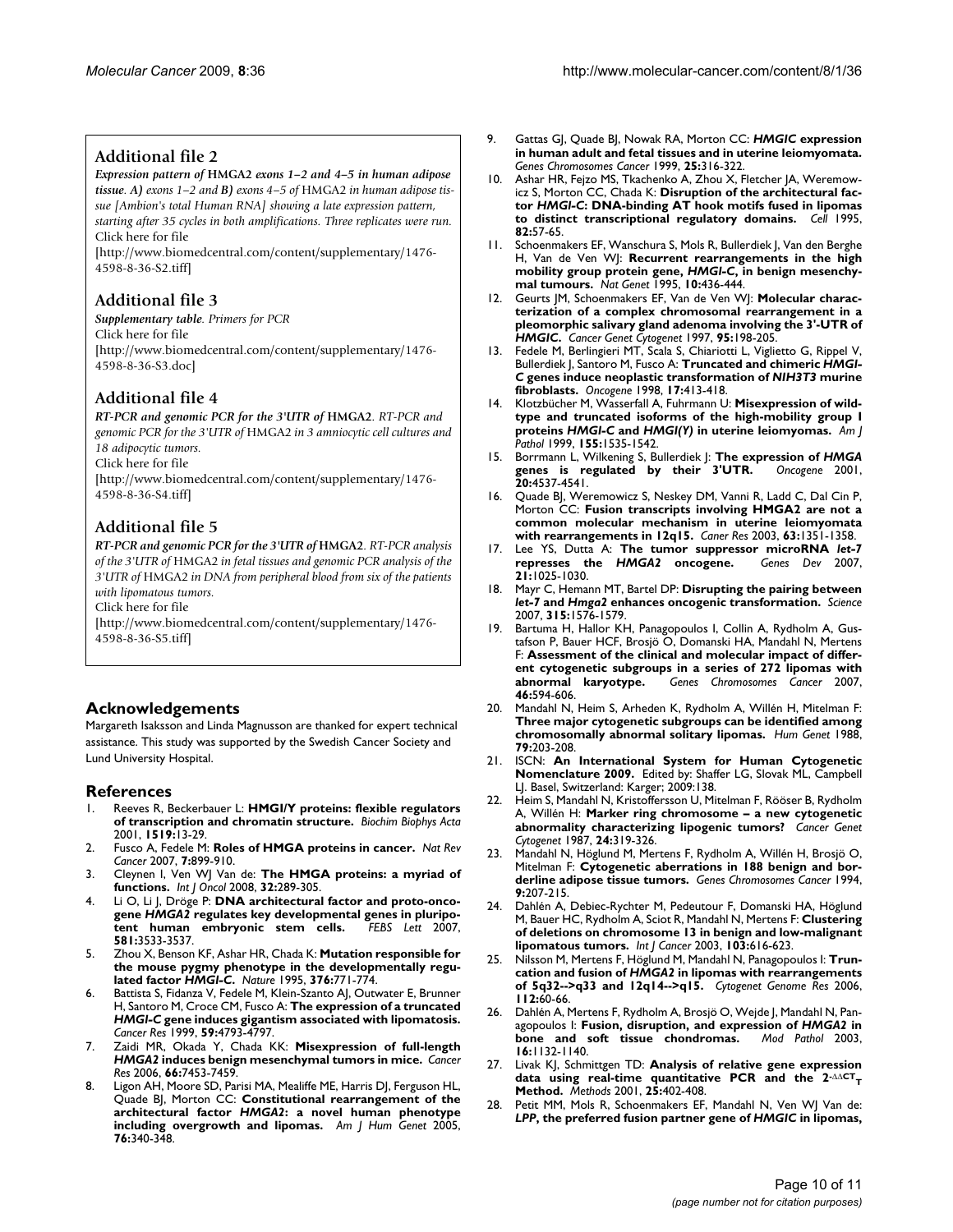### **Additional file 2**

*Expression pattern of* **HMGA2** *exons 1–2 and 4–5 in human adipose tissue. A) exons 1–2 and B) exons 4–5 of* HMGA2 *in human adipose tissue [Ambion's total Human RNA] showing a late expression pattern, starting after 35 cycles in both amplifications. Three replicates were run.* Click here for file

[\[http://www.biomedcentral.com/content/supplementary/1476-](http://www.biomedcentral.com/content/supplementary/1476-4598-8-36-S2.tiff) 4598-8-36-S2.tiff]

### **Additional file 3**

*Supplementary table. Primers for PCR* Click here for file [\[http://www.biomedcentral.com/content/supplementary/1476-](http://www.biomedcentral.com/content/supplementary/1476-4598-8-36-S3.doc) 4598-8-36-S3.doc]

### **Additional file 4**

*RT-PCR and genomic PCR for the 3'UTR of* **HMGA2***. RT-PCR and genomic PCR for the 3'UTR of* HMGA2 *in 3 amniocytic cell cultures and 18 adipocytic tumors.* Click here for file

[\[http://www.biomedcentral.com/content/supplementary/1476-](http://www.biomedcentral.com/content/supplementary/1476-4598-8-36-S4.tiff) 4598-8-36-S4.tiff]

### **Additional file 5**

*RT-PCR and genomic PCR for the 3'UTR of* **HMGA2***. RT-PCR analysis of the 3'UTR of* HMGA2 *in fetal tissues and genomic PCR analysis of the 3'UTR of* HMGA2 *in DNA from peripheral blood from six of the patients with lipomatous tumors.*

Click here for file

[\[http://www.biomedcentral.com/content/supplementary/1476-](http://www.biomedcentral.com/content/supplementary/1476-4598-8-36-S5.tiff) 4598-8-36-S5.tiff]

### **Acknowledgements**

Margareth Isaksson and Linda Magnusson are thanked for expert technical assistance. This study was supported by the Swedish Cancer Society and Lund University Hospital.

#### **References**

- 1. Reeves R, Beckerbauer L: **[HMGI/Y proteins: flexible regulators](http://www.ncbi.nlm.nih.gov/entrez/query.fcgi?cmd=Retrieve&db=PubMed&dopt=Abstract&list_uids=11406267) [of transcription and chromatin structure.](http://www.ncbi.nlm.nih.gov/entrez/query.fcgi?cmd=Retrieve&db=PubMed&dopt=Abstract&list_uids=11406267)** *Biochim Biophys Acta* 2001, **1519:**13-29.
- 2. Fusco A, Fedele M: **[Roles of HMGA proteins in cancer.](http://www.ncbi.nlm.nih.gov/entrez/query.fcgi?cmd=Retrieve&db=PubMed&dopt=Abstract&list_uids=18004397)** *Nat Rev Cancer* 2007, **7:**899-910.
- 3. Cleynen I, Ven WJ Van de: **[The HMGA proteins: a myriad of](http://www.ncbi.nlm.nih.gov/entrez/query.fcgi?cmd=Retrieve&db=PubMed&dopt=Abstract&list_uids=18202751) [functions.](http://www.ncbi.nlm.nih.gov/entrez/query.fcgi?cmd=Retrieve&db=PubMed&dopt=Abstract&list_uids=18202751)** *Int J Oncol* 2008, **32:**289-305.
- Li O, Li J, Dröge P: **DNA** architectural factor and proto-onco**gene** *HMGA2* **[regulates key developmental genes in pluripo](http://www.ncbi.nlm.nih.gov/entrez/query.fcgi?cmd=Retrieve&db=PubMed&dopt=Abstract&list_uids=17624332)** $t$ ent human embryonic stem cells. **581:**3533-3537.
- 5. Zhou X, Benson KF, Ashar HR, Chada K: **Mutation responsible for the mouse pygmy phenotype in the developmentally regulated factor** *HMGI-C***[.](http://www.ncbi.nlm.nih.gov/entrez/query.fcgi?cmd=Retrieve&db=PubMed&dopt=Abstract&list_uids=7651535)** *Nature* 1995, **376:**771-774.
- <span id="page-9-0"></span>6. Battista S, Fidanza V, Fedele M, Klein-Szanto AJ, Outwater E, Brunner H, Santoro M, Croce CM, Fusco A: **The expression of a truncated** *HMGI-C* **[gene induces gigantism associated with lipomatosis.](http://www.ncbi.nlm.nih.gov/entrez/query.fcgi?cmd=Retrieve&db=PubMed&dopt=Abstract&list_uids=10519386)** *Cancer Res* 1999, **59:**4793-4797.
- 7. Zaidi MR, Okada Y, Chada KK: **Misexpression of full-length** *HMGA2* **[induces benign mesenchymal tumors in mice.](http://www.ncbi.nlm.nih.gov/entrez/query.fcgi?cmd=Retrieve&db=PubMed&dopt=Abstract&list_uids=16885341)** *Cancer Res* 2006, **66:**7453-7459.
- 8. Ligon AH, Moore SD, Parisi MA, Mealiffe ME, Harris DJ, Ferguson HL, Quade BJ, Morton CC: **Constitutional rearrangement of the architectural factor** *HMGA2***[: a novel human phenotype](http://www.ncbi.nlm.nih.gov/entrez/query.fcgi?cmd=Retrieve&db=PubMed&dopt=Abstract&list_uids=15593017) [including overgrowth and lipomas.](http://www.ncbi.nlm.nih.gov/entrez/query.fcgi?cmd=Retrieve&db=PubMed&dopt=Abstract&list_uids=15593017)** *Am J Hum Genet* 2005, **76:**340-348.
- 9. Gattas GJ, Quade BJ, Nowak RA, Morton CC: *HMGIC* **[expression](http://www.ncbi.nlm.nih.gov/entrez/query.fcgi?cmd=Retrieve&db=PubMed&dopt=Abstract&list_uids=10398424) [in human adult and fetal tissues and in uterine leiomyomata.](http://www.ncbi.nlm.nih.gov/entrez/query.fcgi?cmd=Retrieve&db=PubMed&dopt=Abstract&list_uids=10398424)** *Genes Chromosomes Cancer* 1999, **25:**316-322.
- 10. Ashar HR, Fejzo MS, Tkachenko A, Zhou X, Fletcher JA, Weremowicz S, Morton CC, Chada K: **Disruption of the architectural factor** *HMGI-C***[: DNA-binding AT hook motifs fused in lipomas](http://www.ncbi.nlm.nih.gov/entrez/query.fcgi?cmd=Retrieve&db=PubMed&dopt=Abstract&list_uids=7606786) [to distinct transcriptional regulatory domains.](http://www.ncbi.nlm.nih.gov/entrez/query.fcgi?cmd=Retrieve&db=PubMed&dopt=Abstract&list_uids=7606786)** *Cell* 1995, **82:**57-65.
- 11. Schoenmakers EF, Wanschura S, Mols R, Bullerdiek J, Van den Berghe H, Van de Ven WJ: **Recurrent rearrangements in the high mobility group protein gene,** *HMGI-C***[, in benign mesenchy](http://www.ncbi.nlm.nih.gov/entrez/query.fcgi?cmd=Retrieve&db=PubMed&dopt=Abstract&list_uids=7670494)[mal tumours.](http://www.ncbi.nlm.nih.gov/entrez/query.fcgi?cmd=Retrieve&db=PubMed&dopt=Abstract&list_uids=7670494)** *Nat Genet* 1995, **10:**436-444.
- 12. Geurts JM, Schoenmakers EF, Van de Ven W|: Molecular charac**terization of a complex chromosomal rearrangement in a pleomorphic salivary gland adenoma involving the 3'-UTR of** *HMGIC***[.](http://www.ncbi.nlm.nih.gov/entrez/query.fcgi?cmd=Retrieve&db=PubMed&dopt=Abstract&list_uids=9169041)** *Cancer Genet Cytogenet* 1997, **95:**198-205.
- 13. Fedele M, Berlingieri MT, Scala S, Chiariotti L, Viglietto G, Rippel V, Bullerdiek J, Santoro M, Fusco A: **Truncated and chimeric** *HMGI-C* **genes induce neoplastic transformation of** *NIH3T3* **[murine](http://www.ncbi.nlm.nih.gov/entrez/query.fcgi?cmd=Retrieve&db=PubMed&dopt=Abstract&list_uids=9696033) [fibroblasts.](http://www.ncbi.nlm.nih.gov/entrez/query.fcgi?cmd=Retrieve&db=PubMed&dopt=Abstract&list_uids=9696033)** *Oncogene* 1998, **17:**413-418.
- 14. Klotzbücher M, Wasserfall A, Fuhrmann U: **Misexpression of wildtype and truncated isoforms of the high-mobility group I proteins** *HMGI-C* **and** *HMGI(Y)* **[in uterine leiomyomas.](http://www.ncbi.nlm.nih.gov/entrez/query.fcgi?cmd=Retrieve&db=PubMed&dopt=Abstract&list_uids=10550310)** *Am J Pathol* 1999, **155:**1535-1542.
- 15. Borrmann L, Wilkening S, Bullerdiek J: **The expression of** *HMGA* **[genes is regulated by their 3'UTR.](http://www.ncbi.nlm.nih.gov/entrez/query.fcgi?cmd=Retrieve&db=PubMed&dopt=Abstract&list_uids=11494149)** *Oncogene* 2001, **20:**4537-4541.
- 16. Quade BJ, Weremowicz S, Neskey DM, Vanni R, Ladd C, Dal Cin P, Morton CC: **Fusion transcripts involving HMGA2 are not a common molecular mechanism in uterine leiomyomata with rearrangements in 12q15.** *Caner Res* 2003, **63:**1351-1358.
- 17. Lee YS, Dutta A: **The tumor suppressor microRNA** *let-7* represses the **HMGA2** [oncogene.](http://www.ncbi.nlm.nih.gov/entrez/query.fcgi?cmd=Retrieve&db=PubMed&dopt=Abstract&list_uids=17437991) **21:**1025-1030.
- 18. Mayr C, Hemann MT, Bartel DP: **Disrupting the pairing between** *let-7* **and** *Hmga2* **[enhances oncogenic transformation.](http://www.ncbi.nlm.nih.gov/entrez/query.fcgi?cmd=Retrieve&db=PubMed&dopt=Abstract&list_uids=17322030)** *Science* 2007, **315:**1576-1579.
- 19. Bartuma H, Hallor KH, Panagopoulos I, Collin A, Rydholm A, Gustafson P, Bauer HCF, Brosjö O, Domanski HA, Mandahl N, Mertens F: **[Assessment of the clinical and molecular impact of differ](http://www.ncbi.nlm.nih.gov/entrez/query.fcgi?cmd=Retrieve&db=PubMed&dopt=Abstract&list_uids=17370328)[ent cytogenetic subgroups in a series of 272 lipomas with](http://www.ncbi.nlm.nih.gov/entrez/query.fcgi?cmd=Retrieve&db=PubMed&dopt=Abstract&list_uids=17370328) [abnormal karyotype.](http://www.ncbi.nlm.nih.gov/entrez/query.fcgi?cmd=Retrieve&db=PubMed&dopt=Abstract&list_uids=17370328)** *Genes Chromosomes Cancer* 2007, **46:**594-606.
- 20. Mandahl N, Heim S, Arheden K, Rydholm A, Willén H, Mitelman F: **[Three major cytogenetic subgroups can be identified among](http://www.ncbi.nlm.nih.gov/entrez/query.fcgi?cmd=Retrieve&db=PubMed&dopt=Abstract&list_uids=3402992) [chromosomally abnormal solitary lipomas.](http://www.ncbi.nlm.nih.gov/entrez/query.fcgi?cmd=Retrieve&db=PubMed&dopt=Abstract&list_uids=3402992)** *Hum Genet* 1988, **79:**203-208.
- 21. ISCN: **An International System for Human Cytogenetic Nomenclature 2009.** Edited by: Shaffer LG, Slovak ML, Campbell LJ. Basel, Switzerland: Karger; 2009:138.
- 22. Heim S, Mandahl N, Kristoffersson U, Mitelman F, Rööser B, Rydholm A, Willén H: **[Marker ring chromosome – a new cytogenetic](http://www.ncbi.nlm.nih.gov/entrez/query.fcgi?cmd=Retrieve&db=PubMed&dopt=Abstract&list_uids=3466681) [abnormality characterizing lipogenic tumors?](http://www.ncbi.nlm.nih.gov/entrez/query.fcgi?cmd=Retrieve&db=PubMed&dopt=Abstract&list_uids=3466681)** *Cancer Genet Cytogenet* 1987, **24:**319-326.
- 23. Mandahl N, Höglund M, Mertens F, Rydholm A, Willén H, Brosjö O, Mitelman F: **[Cytogenetic aberrations in 188 benign and bor](http://www.ncbi.nlm.nih.gov/entrez/query.fcgi?cmd=Retrieve&db=PubMed&dopt=Abstract&list_uids=7515663)[derline adipose tissue tumors.](http://www.ncbi.nlm.nih.gov/entrez/query.fcgi?cmd=Retrieve&db=PubMed&dopt=Abstract&list_uids=7515663)** *Genes Chromosomes Cancer* 1994, **9:**207-215.
- 24. Dahlén A, Debiec-Rychter M, Pedeutour F, Domanski HA, Höglund M, Bauer HC, Rydholm A, Sciot R, Mandahl N, Mertens F: **[Clustering](http://www.ncbi.nlm.nih.gov/entrez/query.fcgi?cmd=Retrieve&db=PubMed&dopt=Abstract&list_uids=12494468) [of deletions on chromosome 13 in benign and low-malignant](http://www.ncbi.nlm.nih.gov/entrez/query.fcgi?cmd=Retrieve&db=PubMed&dopt=Abstract&list_uids=12494468) [lipomatous tumors.](http://www.ncbi.nlm.nih.gov/entrez/query.fcgi?cmd=Retrieve&db=PubMed&dopt=Abstract&list_uids=12494468)** *Int J Cancer* 2003, **103:**616-623.
- 25. Nilsson M, Mertens F, Höglund M, Mandahl N, Panagopoulos I: **Truncation and fusion of** *HMGA2* **[in lipomas with rearrangements](http://www.ncbi.nlm.nih.gov/entrez/query.fcgi?cmd=Retrieve&db=PubMed&dopt=Abstract&list_uids=16276091) [of 5q32-->q33 and 12q14-->q15.](http://www.ncbi.nlm.nih.gov/entrez/query.fcgi?cmd=Retrieve&db=PubMed&dopt=Abstract&list_uids=16276091)** *Cytogenet Genome Res* 2006, **112:**60-66.
- 26. Dahlén A, Mertens F, Rydholm A, Brosjö O, Wejde J, Mandahl N, Panagopoulos I: **Fusion, disruption, and expression of** *HMGA2* **[in](http://www.ncbi.nlm.nih.gov/entrez/query.fcgi?cmd=Retrieve&db=PubMed&dopt=Abstract&list_uids=14614053)**  $bone$  and soft tissue chondromas. **16:**1132-1140.
- 27. Livak KJ, Schmittgen TD: **Analysis of relative gene expression data using real-time quantitative PCR and the 2<sup>-ΔΔCT</sup>T [Method.](http://www.ncbi.nlm.nih.gov/entrez/query.fcgi?cmd=Retrieve&db=PubMed&dopt=Abstract&list_uids=11846609)** *Methods* 2001, **25:**402-408.
- 28. Petit MM, Mols R, Schoenmakers EF, Mandahl N, Ven WJ Van de: *LPP***, the preferred fusion partner gene of** *HMGIC* **[in lipomas,](http://www.ncbi.nlm.nih.gov/entrez/query.fcgi?cmd=Retrieve&db=PubMed&dopt=Abstract&list_uids=8812423)**